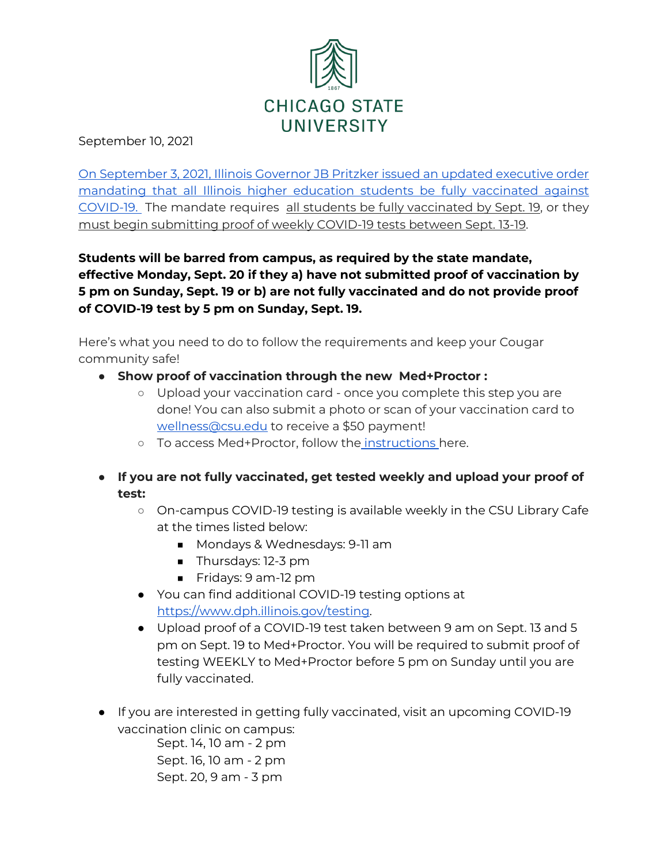

September 10, 2021

[On September 3, 2021, Illinois Governor JB Pritzker issued an updated executive order](https://www.illinois.gov/government/executive-orders/executive-order.executive-order-number-22.2021.html)  [mandating that all Illinois higher education students be fully vaccinated against](https://www.illinois.gov/government/executive-orders/executive-order.executive-order-number-22.2021.html)  [COVID-19.](https://www.illinois.gov/government/executive-orders/executive-order.executive-order-number-22.2021.html) The mandate requires all students be fully vaccinated by Sept. 19, or they must begin submitting proof of weekly COVID-19 tests between Sept. 13-19.

**Students will be barred from campus, as required by the state mandate, effective Monday, Sept. 20 if they a) have not submitted proof of vaccination by 5 pm on Sunday, Sept. 19 or b) are not fully vaccinated and do not provide proof of COVID-19 test by 5 pm on Sunday, Sept. 19.** 

Here's what you need to do to follow the requirements and keep your Cougar community safe!

- **Show proof of vaccination through the new Med+Proctor :**
	- Upload your vaccination card once you complete this step you are done! You can also submit a photo or scan of your vaccination card to [wellness@csu.edu](mailto:wellness@csu.edu) to receive a \$50 payment!
	- To access Med+Proctor, follow the [instructions h](https://www.csu.edu/covid19updates/documents/Med_Proctor_Instructions.pdf)ere.
- **If you are not fully vaccinated, get tested weekly and upload your proof of test:**
	- On-campus COVID-19 testing is available weekly in the CSU Library Cafe at the times listed below:
		- Mondays & Wednesdays: 9-11 am
		- Thursdays: 12-3 pm
		- Fridays: 9 am-12 pm
	- You can find additional COVID-19 testing options at [https://www.dph.illinois.gov/testing.](https://www.dph.illinois.gov/testing)
	- Upload proof of a COVID-19 test taken between 9 am on Sept. 13 and 5 pm on Sept. 19 to Med+Proctor. You will be required to submit proof of testing WEEKLY to Med+Proctor before 5 pm on Sunday until you are fully vaccinated.
- If you are interested in getting fully vaccinated, visit an upcoming COVID-19 vaccination clinic on campus:

Sept. 14, 10 am - 2 pm Sept. 16, 10 am - 2 pm Sept. 20, 9 am - 3 pm